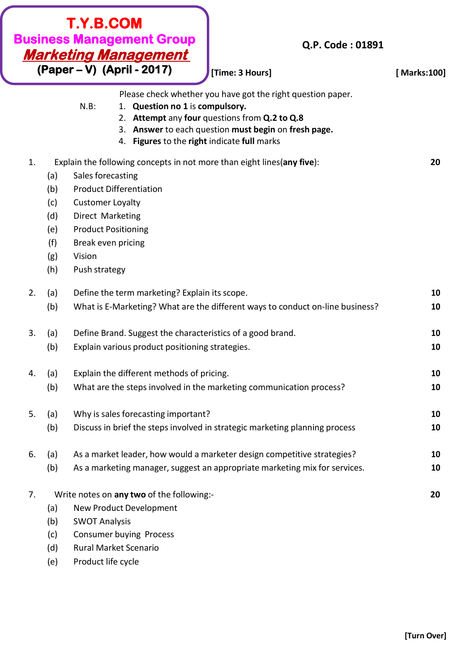|    |                                                      | <b>T.Y.B.COM</b><br><b>Business Management Group</b><br><u> Marketing Management</u><br>$(Paper - V) (April - 2017)$<br>[Time: 3 Hours]                                                                                                                           | Q.P. Code: 01891<br>[Marks:100] |  |
|----|------------------------------------------------------|-------------------------------------------------------------------------------------------------------------------------------------------------------------------------------------------------------------------------------------------------------------------|---------------------------------|--|
|    |                                                      | Please check whether you have got the right question paper.<br>1. Question no 1 is compulsory.<br>$N.B$ :<br>2. Attempt any four questions from Q.2 to Q.8<br>3. Answer to each question must begin on fresh page.<br>4. Figures to the right indicate full marks |                                 |  |
| 1. | (a)<br>(b)<br>(c)<br>(d)<br>(e)<br>(f)<br>(g)<br>(h) | Explain the following concepts in not more than eight lines(any five):<br>Sales forecasting<br><b>Product Differentiation</b><br><b>Customer Loyalty</b><br>Direct Marketing<br><b>Product Positioning</b><br>Break even pricing<br>Vision<br>Push strategy       | 20                              |  |
| 2. | (a)                                                  | Define the term marketing? Explain its scope.                                                                                                                                                                                                                     | 10                              |  |
|    | (b)                                                  | What is E-Marketing? What are the different ways to conduct on-line business?                                                                                                                                                                                     | 10                              |  |
| 3. | (a)                                                  | Define Brand. Suggest the characteristics of a good brand.                                                                                                                                                                                                        | 10                              |  |
|    | (b)                                                  | Explain various product positioning strategies.                                                                                                                                                                                                                   | 10                              |  |
| 4. | (a)                                                  | Explain the different methods of pricing.                                                                                                                                                                                                                         | 10                              |  |
|    | (b)                                                  | What are the steps involved in the marketing communication process?                                                                                                                                                                                               | 10                              |  |
| 5. | (a)                                                  | Why is sales forecasting important?                                                                                                                                                                                                                               | 10                              |  |
|    | (b)                                                  | Discuss in brief the steps involved in strategic marketing planning process                                                                                                                                                                                       | 10                              |  |
| 6. | (a)                                                  | As a market leader, how would a marketer design competitive strategies?                                                                                                                                                                                           | 10                              |  |
|    | (b)                                                  | As a marketing manager, suggest an appropriate marketing mix for services.                                                                                                                                                                                        | 10                              |  |
| 7. | (a)<br>(b)<br>(c)<br>(d)                             | Write notes on any two of the following:-<br>New Product Development<br><b>SWOT Analysis</b><br>Consumer buying Process<br>Rural Market Scenario                                                                                                                  | 20                              |  |

(e) Product life cycle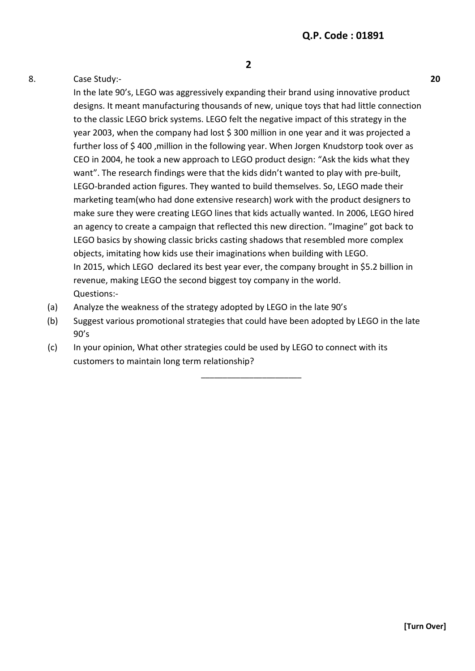## 8. Case Study:- **20**

In the late 90's, LEGO was aggressively expanding their brand using innovative product designs. It meant manufacturing thousands of new, unique toys that had little connection to the classic LEGO brick systems. LEGO felt the negative impact of this strategy in the year 2003, when the company had lost \$ 300 million in one year and it was projected a further loss of \$400, million in the following year. When Jorgen Knudstorp took over as CEO in 2004, he took a new approach to LEGO product design: "Ask the kids what they want". The research findings were that the kids didn't wanted to play with pre-built, LEGO-branded action figures. They wanted to build themselves. So, LEGO made their marketing team(who had done extensive research) work with the product designers to make sure they were creating LEGO lines that kids actually wanted. In 2006, LEGO hired an agency to create a campaign that reflected this new direction. "Imagine" got back to LEGO basics by showing classic bricks casting shadows that resembled more complex objects, imitating how kids use their imaginations when building with LEGO. In 2015, which LEGO declared its best year ever, the company brought in \$5.2 billion in revenue, making LEGO the second biggest toy company in the world. Questions:-

- (a) Analyze the weakness of the strategy adopted by LEGO in the late 90's
- (b) Suggest various promotional strategies that could have been adopted by LEGO in the late 90's
- (c) In your opinion, What other strategies could be used by LEGO to connect with its customers to maintain long term relationship?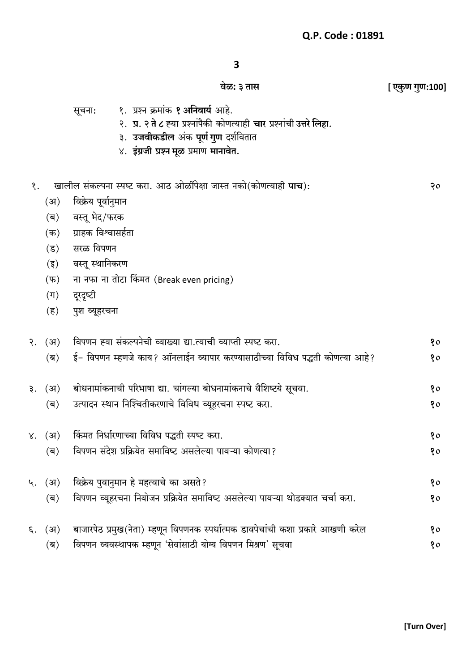| aw: | तास |
|-----|-----|
|     |     |

بان 100.1mm<br>ال  $\ddot{\phantom{a}}$ 

|              |                           | वळ: ३ तास                                                                                                                                                                                                    | [ ણ્કુખ મુખ:100] |
|--------------|---------------------------|--------------------------------------------------------------------------------------------------------------------------------------------------------------------------------------------------------------|------------------|
|              |                           | १. प्रश्न क्रमांक <b>१ अनिवार्य</b> आहे.<br>सूचना:<br>२. प्र. २ ते ८ ह्या प्रश्नांपैकी कोणत्याही चार प्रश्नांची उत्तरे लिहा.<br>३. उजवीकडील अंक पूर्ण गुण दर्शवितात<br>४. इंग्रजी प्रश्न मूळ प्रमाण मानावेत. |                  |
| १.           |                           | खालील संकल्पना स्पष्ट करा. आठ ओळींपेक्षा जास्त नको(कोणत्याही <b>पाच</b> ):                                                                                                                                   | २०               |
|              | (3)                       | विक्रेय पूर्वानुमान                                                                                                                                                                                          |                  |
|              | $(\overline{\mathsf{p}})$ | वस्तू भेद/फरक                                                                                                                                                                                                |                  |
|              | (क)                       | ग्राहक विश्वासर्हता                                                                                                                                                                                          |                  |
|              | $(\overline{s})$          | सरळ विपणन                                                                                                                                                                                                    |                  |
|              | $(\overline{\xi})$        | वस्तू स्थानिकरण                                                                                                                                                                                              |                  |
|              | (फ)                       | ना नफा ना तोटा किंमत (Break even pricing)                                                                                                                                                                    |                  |
|              | $(\Pi)$                   | दूरदृष्टी                                                                                                                                                                                                    |                  |
|              | (5)                       | पुश व्यूहरचना                                                                                                                                                                                                |                  |
| २.           | (3)                       | विपणन ह्या संकल्पनेची व्याख्या द्या.त्याची व्याप्ती स्पष्ट करा.                                                                                                                                              | १०               |
|              | $(\overline{\mathsf{q}})$ | ई– विपणन म्हणजे काय? ऑनलाईन व्यापार करण्यासाठीच्या विविध पद्धती कोणत्या आहे?                                                                                                                                 | १०               |
| ३.           | (3)                       | बोधनामांकनाची परिभाषा द्या. चांगल्या बोधनामांकनाचे वैशिष्टये सूचवा.                                                                                                                                          | १०               |
|              | $(\overline{\mathsf{a}})$ | उत्पादन स्थान निश्चितीकरणाचे विविध व्यूहरचना स्पष्ट करा.                                                                                                                                                     | १०               |
|              |                           |                                                                                                                                                                                                              |                  |
|              | ४. (अ)                    | किंमत निर्धारणाच्या विविध पद्धती स्पष्ट करा.                                                                                                                                                                 | १o               |
|              | (ब)                       | विपणन संदेश प्रक्रियेत समाविष्ट असलेल्या पायऱ्या कोणत्या?                                                                                                                                                    | 80               |
| ५.           | (3)                       | विक्रेय पुवानुमान हे महत्वाचे का असते?                                                                                                                                                                       | १o               |
|              | $(\overline{\mathsf{a}})$ | विपणन व्यूहरचना नियोजन प्रक्रियेत समाविष्ट असलेल्या पायऱ्या थोडक्यात चर्चा करा.                                                                                                                              | १०               |
| $\epsilon$ . | (3)                       | बाजारपेठ प्रमुख(नेता) म्हणून विपणनक स्पर्धात्मक डावपेचांची कशा प्रकारे आखणी करेल                                                                                                                             | १०               |
|              | $(\overline{\mathsf{a}})$ | विपणन व्यवस्थापक म्हणून 'सेवांसाठी योग्य विपणन मिश्रण' सूचवा                                                                                                                                                 | १०               |